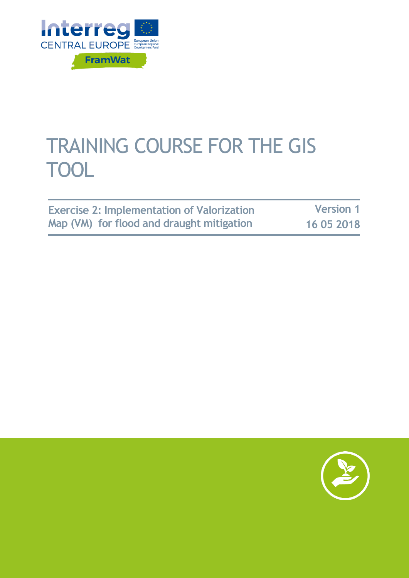

# TRAINING COURSE FOR THE GIS TOOL

**Exercise 2: Implementation of Valorization Map (VM) for flood and draught mitigation**

**Version 1 16 05 2018**

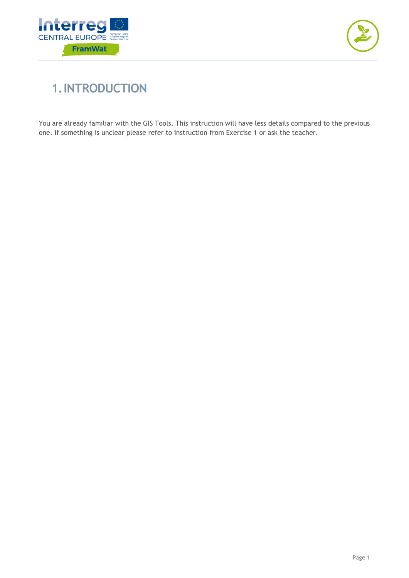



## **1.INTRODUCTION**

You are already familiar with the GIS Tools. This instruction will have less details compared to the previous one. If something is unclear please refer to instruction from Exercise 1 or ask the teacher.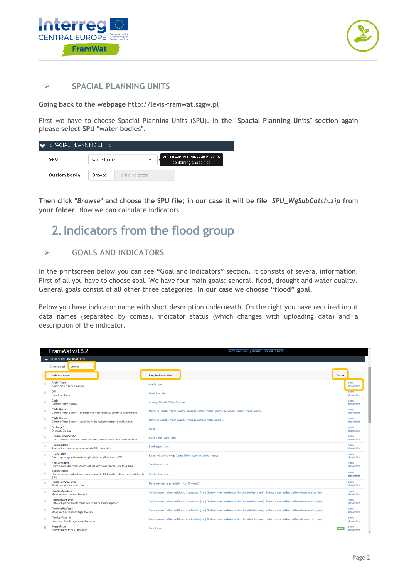



#### **SPACIAL PLANNING UNITS**

**Going back to the webpage** [http://levis-framwat.sggw.pl](http://levis-framwat.sggw.pl/)

First we have to choose Spacial Planning Units (SPU). I**n the "Spacial Planning Units" section again please select SPU "water bodies".**

| $\bullet$            | SPACIAL PLANNING UNITS |                  |                                                              |  |  |  |
|----------------------|------------------------|------------------|--------------------------------------------------------------|--|--|--|
| SPU                  | water bodies           |                  | Zip file with compressed directory<br>containing shape files |  |  |  |
| <b>Custom border</b> | <b>Browse</b>          | No file selected |                                                              |  |  |  |

**Then click "***Browse***" and choose the SPU file; in our case it will be file** *SPU\_WgSubCatch.zip* **from your folder.** Now we can calculate indicators.

### **2.Indicators from the flood group**

### **GOALS AND INDICATORS**

In the printscreen below you can see "Goal and Indicators" section. It consists of several information. First of all you have to choose goal. We have four main goals: general, flood, drought and water quality. General goals consist of all other three categories. **In our case we choose "flood" goal.**

Below you have indicator name with short description underneath. On the right you have required input data names (separated by comas), indicator status (which changes with uploading data) and a description of the indicator.

| FramWat v.0.8.2                                                                                                                                       | METHODOLOGY   MANUAL   EXAMPLE DATA                                                                                                                            |                              |
|-------------------------------------------------------------------------------------------------------------------------------------------------------|----------------------------------------------------------------------------------------------------------------------------------------------------------------|------------------------------|
| GOALS AND INDICATORS                                                                                                                                  |                                                                                                                                                                |                              |
| Choose goal<br>general                                                                                                                                |                                                                                                                                                                |                              |
| Indicator name                                                                                                                                        | <b>Required input data</b>                                                                                                                                     | <b>Status</b>                |
| <b>ArableRatio</b><br>E<br>Arable area in SPU area ratio                                                                                              | Arable layer;                                                                                                                                                  | show<br>description          |
| <b>BFI</b><br><b>Base Flow Index</b>                                                                                                                  | <b>BaseFlow Index:</b>                                                                                                                                         | snow<br>description          |
| <b>CWB</b><br>$\Box$<br><b>Climatic Water Balance</b>                                                                                                 | Avarage Climatic Water Balance;                                                                                                                                | show<br>description          |
| CWB_Var_a<br>$\Box$<br>Climatic Water Balance - average intra year variability (cwbMax-cwbMin)/cwb                                                    | Minimum Climatic Water Balance; Avarage Climatic Water Balance; Maximum Climatic Water Balance;                                                                | show<br>description          |
| CWB Var m<br>$\qquad \qquad \Box$<br>Climatic Water Balance - variability in the multiannual period cwbMin/cwb                                        | Minimum Climatic Water Balance; Avarage Climatic Water Balance;                                                                                                | show<br>description          |
| DrainageD<br>$\Box$<br><b>Drainage Density</b>                                                                                                        | River:                                                                                                                                                         | show<br>description          |
| EcoAraBuf20mRatio<br>$\Box$<br>Arable lands in 20-meters buffer around surface waters area to SPU area ratio                                          | River; Lake; Arable layer;                                                                                                                                     | show<br>description          |
| <b>EcoAreaRatio</b><br>$\Box$<br>Semi-natural land cover types area to SPU area ratio                                                                 | Semi-natural land:                                                                                                                                             | show<br>description          |
| <b>EcoBadRHS</b><br>$\qquad \qquad \Box$<br>Bad morphological elements length to total length of river in SPU                                         | River Hydromorphology Status; River Hydromorphology Status;                                                                                                    | show<br>description          |
| <b>EcoCombined</b><br>$\Box$<br>Combination of number of semi-natural land cover patches and their area                                               | Semi-natural land:                                                                                                                                             | show<br>description          |
| <b>EcoNumRatio</b><br>$\qquad \qquad \qquad \qquad \Box$<br>Number of semi-natural land cover patches to total number of land cover patches in<br>SPU | Semi-natural land:                                                                                                                                             | show<br>description          |
| FloodRiskAreaRatio<br>$\Box$<br>Flood hazard zone area ratio                                                                                          | Flood extent (e.g. probability 1% (100 years));                                                                                                                | show<br>description          |
| FlowMinAvaRatio<br>Mean low flow to mean flow ratio                                                                                                   | Surface water multiannual flow characteristics [mm]; Surface water multiannual flow characteristics [mm]; Surface water multiannual flow characteristics [mm]; | show<br>description          |
| <b>FlowMaxAvgRatio</b><br>$\Box$<br>Ratio of high low flow to mean flow in the multiannual period                                                     | Surface water multiannual flow characteristics [mm]; Surface water multiannual flow characteristics [mm]; Surface water multiannual flow characteristics [mm]; | show<br>description          |
| FlowMinMaxRatio<br>$\Box$<br>Mean low flow to mean high flow ratio                                                                                    | Surface water multiannual flow characteristics [mm]; Surface water multiannual flow characteristics [mm]; Surface water multiannual flow characteristics [mm]; | show<br>description          |
| FlowVarRatio m<br>$\Box$<br>Low mean flow to hight mean flow ratio                                                                                    | Surface water multiannual flow characteristics [mm]; Surface water multiannual flow characteristics [mm]; Surface water multiannual flow characteristics [mm]; | show<br>description          |
| <b>ForestRatio</b><br>$\overline{\bullet}$<br>Forested area to SPU area ratio                                                                         | Forest layer:                                                                                                                                                  | show<br>Ready<br>description |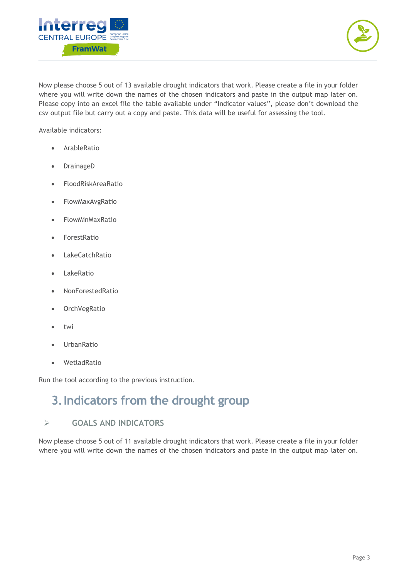



Now please choose 5 out of 13 available drought indicators that work. Please create a file in your folder where you will write down the names of the chosen indicators and paste in the output map later on. Please copy into an excel file the table available under "Indicator values", please don't download the csv output file but carry out a copy and paste. This data will be useful for assessing the tool.

Available indicators:

- ArableRatio
- DrainageD
- FloodRiskAreaRatio
- FlowMaxAvgRatio
- FlowMinMaxRatio
- ForestRatio
- LakeCatchRatio
- LakeRatio
- NonForestedRatio
- OrchVegRatio
- twi
- UrbanRatio
- WetladRatio

Run the tool according to the previous instruction.

### **3.Indicators from the drought group**

#### **GOALS AND INDICATORS**

Now please choose 5 out of 11 available drought indicators that work. Please create a file in your folder where you will write down the names of the chosen indicators and paste in the output map later on.